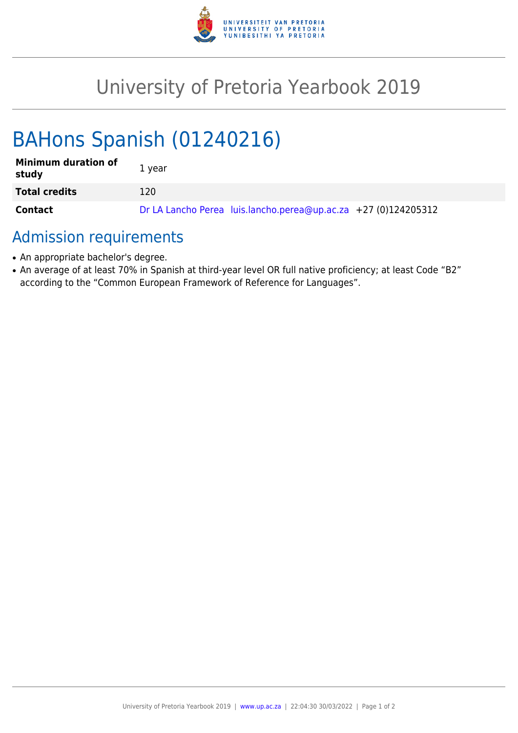

## University of Pretoria Yearbook 2019

# BAHons Spanish (01240216)

| <b>Minimum duration of</b><br>study | 1 year                                                         |
|-------------------------------------|----------------------------------------------------------------|
| <b>Total credits</b>                | 120                                                            |
| <b>Contact</b>                      | Dr LA Lancho Perea luis.lancho.perea@up.ac.za +27 (0)124205312 |

### Admission requirements

- An appropriate bachelor's degree.
- An average of at least 70% in Spanish at third-year level OR full native proficiency; at least Code "B2" according to the "Common European Framework of Reference for Languages".